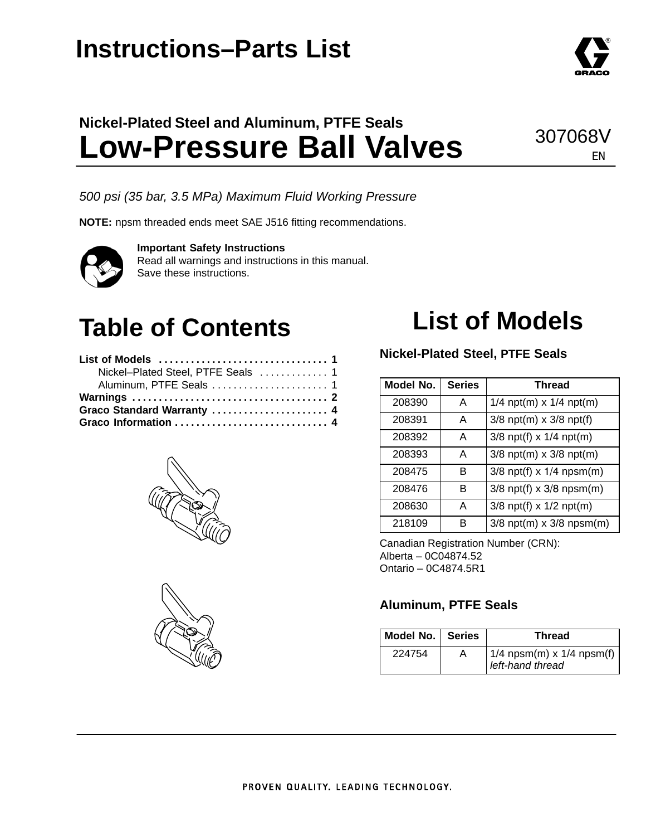## **Instructions–Parts List**

### **Nickel-Plated Steel and Aluminum, PTFE Seals Low-Pressure Ball Valves**

*500 psi (35 bar, 3.5 MPa) Maximum Fluid Working Pressure*

**NOTE:** npsm threaded ends meet SAE J516 fitting recommendations.

#### **Important Safety Instructions**

Read all warnings and instructions in this manual. Save these instructions.

# **Table of Contents**

| Nickel-Plated Steel, PTFE Seals  1 |  |
|------------------------------------|--|
| Aluminum, PTFE Seals  1            |  |
|                                    |  |
| Graco Standard Warranty  4         |  |
|                                    |  |





# **List of Models**

#### **Nickel-Plated Steel, PTFE Seals**

| Model No. | <b>Series</b> | <b>Thread</b>                |
|-----------|---------------|------------------------------|
| 208390    | A             | $1/4$ npt(m) x $1/4$ npt(m)  |
| 208391    | A             | $3/8$ npt(m) x $3/8$ npt(f)  |
| 208392    | А             | $3/8$ npt(f) x $1/4$ npt(m)  |
| 208393    | А             | $3/8$ npt(m) x $3/8$ npt(m)  |
| 208475    | в             | $3/8$ npt(f) x $1/4$ npsm(m) |
| 208476    | в             | $3/8$ npt(f) x $3/8$ npsm(m) |
| 208630    | A             | $3/8$ npt(f) x $1/2$ npt(m)  |
| 218109    | R             | $3/8$ npt(m) x $3/8$ npsm(m) |

Canadian Registration Number (CRN): Alberta – 0C04874.52 Ontario – 0C4874.5R1

#### **Aluminum, PTFE Seals**

| Model No.   Series |   | Thread                                            |
|--------------------|---|---------------------------------------------------|
| 224754             | А | $1/4$ npsm(m) x $1/4$ npsm(f)<br>left-hand thread |



### 307068V EN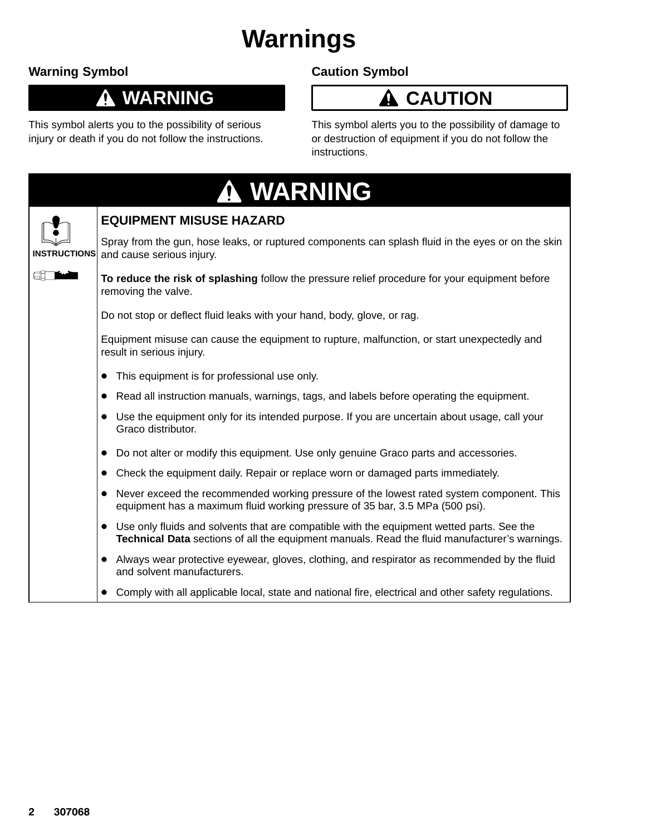# **Warnings**

### **Warning Symbol**

0

### **WARNING**

This symbol alerts you to the possibility of serious injury or death if you do not follow the instructions.

### **Caution Symbol**

### **A** CAUTION

This symbol alerts you to the possibility of damage to or destruction of equipment if you do not follow the instructions.

|                     | A WARNING                                                                                                                                                                                    |
|---------------------|----------------------------------------------------------------------------------------------------------------------------------------------------------------------------------------------|
|                     | <b>EQUIPMENT MISUSE HAZARD</b>                                                                                                                                                               |
| <b>INSTRUCTIONS</b> | Spray from the gun, hose leaks, or ruptured components can splash fluid in the eyes or on the skin<br>and cause serious injury.                                                              |
|                     | To reduce the risk of splashing follow the pressure relief procedure for your equipment before<br>removing the valve.                                                                        |
|                     | Do not stop or deflect fluid leaks with your hand, body, glove, or rag.                                                                                                                      |
|                     | Equipment misuse can cause the equipment to rupture, malfunction, or start unexpectedly and<br>result in serious injury.                                                                     |
|                     | • This equipment is for professional use only.                                                                                                                                               |
|                     | Read all instruction manuals, warnings, tags, and labels before operating the equipment.<br>$\bullet$                                                                                        |
|                     | Use the equipment only for its intended purpose. If you are uncertain about usage, call your<br>Graco distributor.                                                                           |
|                     | Do not alter or modify this equipment. Use only genuine Graco parts and accessories.<br>$\bullet$                                                                                            |
|                     | Check the equipment daily. Repair or replace worn or damaged parts immediately.<br>$\bullet$                                                                                                 |
|                     | • Never exceed the recommended working pressure of the lowest rated system component. This<br>equipment has a maximum fluid working pressure of 35 bar, 3.5 MPa (500 psi).                   |
|                     | • Use only fluids and solvents that are compatible with the equipment wetted parts. See the<br>Technical Data sections of all the equipment manuals. Read the fluid manufacturer's warnings. |
|                     | • Always wear protective eyewear, gloves, clothing, and respirator as recommended by the fluid<br>and solvent manufacturers.                                                                 |
|                     | Comply with all applicable local, state and national fire, electrical and other safety regulations.                                                                                          |